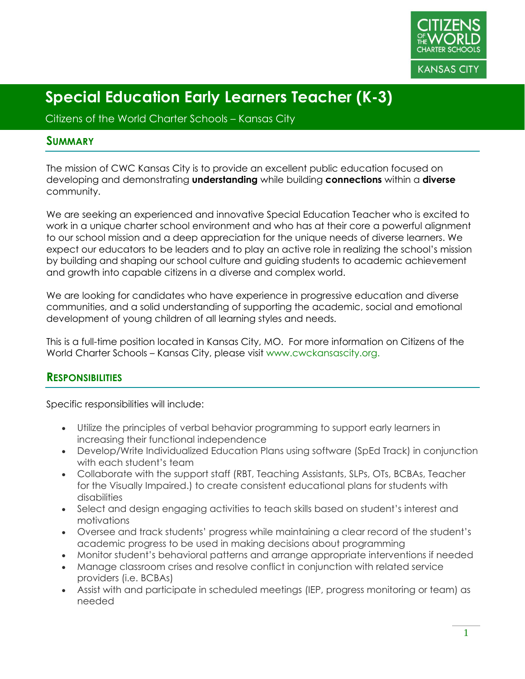

Citizens of the World Charter Schools – Kansas City

#### **SUMMARY**

The mission of CWC Kansas City is to provide an excellent public education focused on developing and demonstrating **understanding** while building **connections** within a **diverse** community.

We are seeking an experienced and innovative Special Education Teacher who is excited to work in a unique charter school environment and who has at their core a powerful alignment to our school mission and a deep appreciation for the unique needs of diverse learners. We expect our educators to be leaders and to play an active role in realizing the school's mission by building and shaping our school culture and guiding students to academic achievement and growth into capable citizens in a diverse and complex world.

We are looking for candidates who have experience in progressive education and diverse communities, and a solid understanding of supporting the academic, social and emotional development of young children of all learning styles and needs.

This is a full-time position located in Kansas City, MO. For more information on Citizens of the World Charter Schools – Kansas City, please visit www.cwckansascity.org.

#### **RESPONSIBILITIES**

Specific responsibilities will include:

- Utilize the principles of verbal behavior programming to support early learners in increasing their functional independence
- Develop/Write Individualized Education Plans using software (SpEd Track) in conjunction with each student's team
- Collaborate with the support staff (RBT, Teaching Assistants, SLPs, OTs, BCBAs, Teacher for the Visually Impaired.) to create consistent educational plans for students with disabilities
- Select and design engaging activities to teach skills based on student's interest and motivations
- Oversee and track students' progress while maintaining a clear record of the student's academic progress to be used in making decisions about programming
- Monitor student's behavioral patterns and arrange appropriate interventions if needed
- Manage classroom crises and resolve conflict in conjunction with related service providers (i.e. BCBAs)
- Assist with and participate in scheduled meetings (IEP, progress monitoring or team) as needed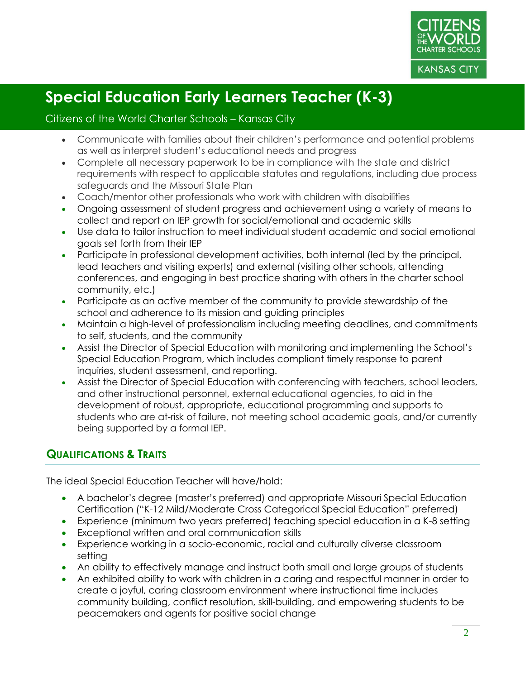

#### Citizens of the World Charter Schools – Kansas City

- Communicate with families about their children's performance and potential problems as well as interpret student's educational needs and progress
- Complete all necessary paperwork to be in compliance with the state and district requirements with respect to applicable statutes and regulations, including due process safeguards and the Missouri State Plan
- Coach/mentor other professionals who work with children with disabilities
- Ongoing assessment of student progress and achievement using a variety of means to collect and report on IEP growth for social/emotional and academic skills
- Use data to tailor instruction to meet individual student academic and social emotional goals set forth from their IEP
- Participate in professional development activities, both internal (led by the principal, lead teachers and visiting experts) and external (visiting other schools, attending conferences, and engaging in best practice sharing with others in the charter school community, etc.)
- Participate as an active member of the community to provide stewardship of the school and adherence to its mission and guiding principles
- Maintain a high-level of professionalism including meeting deadlines, and commitments to self, students, and the community
- Assist the Director of Special Education with monitoring and implementing the School's Special Education Program, which includes compliant timely response to parent inquiries, student assessment, and reporting.
- Assist the Director of Special Education with conferencing with teachers, school leaders, and other instructional personnel, external educational agencies, to aid in the development of robust, appropriate, educational programming and supports to students who are at-risk of failure, not meeting school academic goals, and/or currently being supported by a formal IEP.

#### **QUALIFICATIONS & TRAITS**

The ideal Special Education Teacher will have/hold:

- A bachelor's degree (master's preferred) and appropriate Missouri Special Education Certification ("K-12 Mild/Moderate Cross Categorical Special Education" preferred)
- Experience (minimum two years preferred) teaching special education in a K-8 setting
- Exceptional written and oral communication skills
- Experience working in a socio-economic, racial and culturally diverse classroom setting
- An ability to effectively manage and instruct both small and large groups of students
- An exhibited ability to work with children in a caring and respectful manner in order to create a joyful, caring classroom environment where instructional time includes community building, conflict resolution, skill-building, and empowering students to be peacemakers and agents for positive social change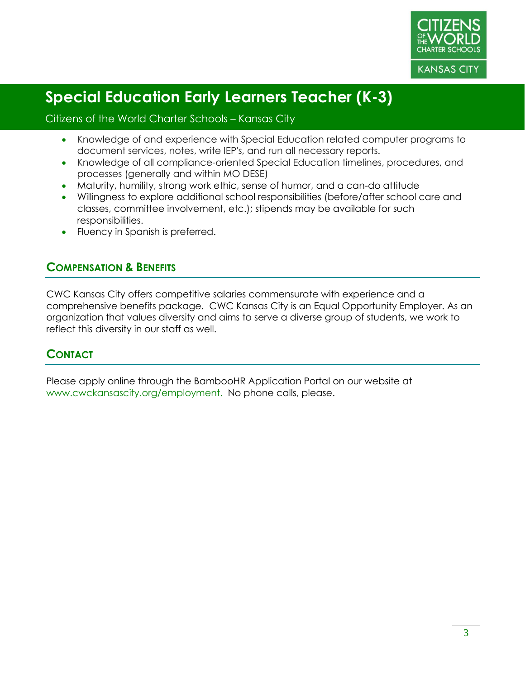

#### Citizens of the World Charter Schools – Kansas City

- Knowledge of and experience with Special Education related computer programs to document services, notes, write IEP's, and run all necessary reports.
- Knowledge of all compliance-oriented Special Education timelines, procedures, and processes (generally and within MO DESE)
- Maturity, humility, strong work ethic, sense of humor, and a can-do attitude
- Willingness to explore additional school responsibilities (before/after school care and classes, committee involvement, etc.); stipends may be available for such responsibilities.
- Fluency in Spanish is preferred.

#### **COMPENSATION & BENEFITS**

CWC Kansas City offers competitive salaries commensurate with experience and a comprehensive benefits package. CWC Kansas City is an Equal Opportunity Employer. As an organization that values diversity and aims to serve a diverse group of students, we work to reflect this diversity in our staff as well.

#### **CONTACT**

Please apply online through the BambooHR Application Portal on our website at www.cwckansascity.org/employment. No phone calls, please.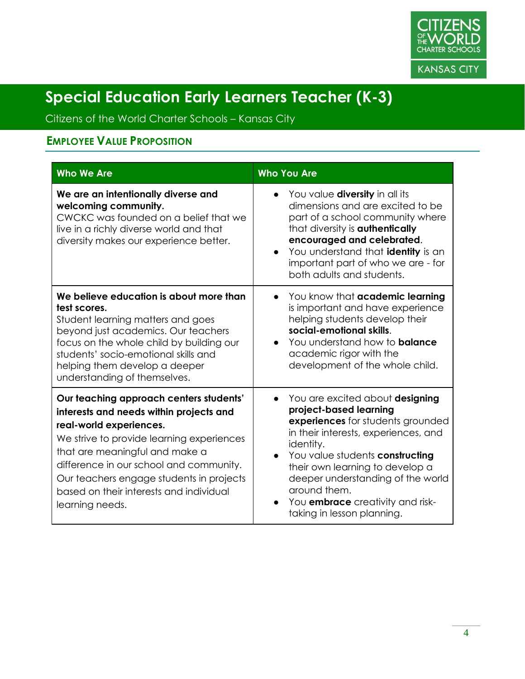

Citizens of the World Charter Schools – Kansas City

### **EMPLOYEE VALUE PROPOSITION**

| <b>Who We Are</b>                                                                                                                                                                                                                                                                                                                                 | <b>Who You Are</b>                                                                                                                                                                                                                                                                                                                                                   |
|---------------------------------------------------------------------------------------------------------------------------------------------------------------------------------------------------------------------------------------------------------------------------------------------------------------------------------------------------|----------------------------------------------------------------------------------------------------------------------------------------------------------------------------------------------------------------------------------------------------------------------------------------------------------------------------------------------------------------------|
| We are an intentionally diverse and<br>welcoming community.<br>CWCKC was founded on a belief that we<br>live in a richly diverse world and that<br>diversity makes our experience better.                                                                                                                                                         | You value <b>diversity</b> in all its<br>dimensions and are excited to be<br>part of a school community where<br>that diversity is <b>authentically</b><br>encouraged and celebrated.<br>You understand that identity is an<br>important part of who we are - for<br>both adults and students.                                                                       |
| We believe education is about more than<br>test scores.<br>Student learning matters and goes<br>beyond just academics. Our teachers<br>focus on the whole child by building our<br>students' socio-emotional skills and<br>helping them develop a deeper<br>understanding of themselves.                                                          | You know that academic learning<br>is important and have experience<br>helping students develop their<br>social-emotional skills.<br>You understand how to <b>balance</b><br>$\bullet$<br>academic rigor with the<br>development of the whole child.                                                                                                                 |
| Our teaching approach centers students'<br>interests and needs within projects and<br>real-world experiences.<br>We strive to provide learning experiences<br>that are meaningful and make a<br>difference in our school and community.<br>Our teachers engage students in projects<br>based on their interests and individual<br>learning needs. | You are excited about designing<br>$\bullet$<br>project-based learning<br>experiences for students grounded<br>in their interests, experiences, and<br>identity.<br>You value students constructing<br>their own learning to develop a<br>deeper understanding of the world<br>around them.<br>You <b>embrace</b> creativity and risk-<br>taking in lesson planning. |